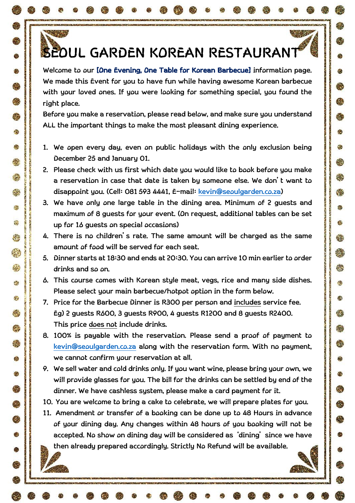## **SEOUL GARDEN KOREAN RESTAURANT**

 $\mathbb{R}^n \times \mathbb{R}^n$ 

Ø,

63

総

еk.

战

<u>. Х.</u>

**TANK AND** 

Ø

**C** 

Ø.

鑫

编

đ.

客

燃

怨

53

e%

43

K.

£,

纂

Ġ

G

像

⊜

**ROOM** 

**Welcome to our [One Evening, One Table for Korean Barbecue] information page. We made this Event for you to have fun while having awesome Korean barbecue with your loved ones. If you were looking for something special, you found the right place.** 

**Before you make a reservation, please read below, and make sure you understand ALL the important things to make the most pleasant dining experience.** 

- **1. We open every day, even on public holidays with the only exclusion being December 25 and January 01.**
- **2. Please check with us first which date you would like to book before you make a reservation in case that date is taken by someone else. We don't want to disappoint you. (Cell: 081 593 4441, E-mail: [kevin@seoulgarden.co.za\)](mailto:kevin@seoulgarden.co.za)**
- **3. We have only one large table in the dining area. Minimum of 2 guests and maximum of 8 guests for your event. (On request, additional tables can be set up for 16 guests on special occasions)**
- **4. There is no children's rate. The same amount will be charged as the same amount of food will be served for each seat.**
- **5. Dinner starts at 18:30 and ends at 20:30. You can arrive 10 min earlier to order drinks and so on.**
- **6. This course comes with Korean style meat, vegs, rice and many side dishes. Please select your main barbecue/hotpot option in the form below.**
- **7. Price for the Barbecue Dinner is R300 per person and includes service fee. Eg) 2 guests R600, 3 guests R900, 4 guests R1200 and 8 guests R2400. This price does not include drinks.**
- **8. 100% is payable with the reservation. Please send a proof of payment to [kevin@seoulgarden.co.za](mailto:kevin@seoulgarden.co.za) along with the reservation form. With no payment, we cannot confirm your reservation at all.**
- **9. We sell water and cold drinks only. If you want wine, please bring your own, we will provide glasses for you. The bill for the drinks can be settled by end of the dinner. We have cashless system, please make a card payment for it.**
- **10. You are welcome to bring a cake to celebrate, we will prepare plates for you.**
- **11. Amendment or transfer of a booking can be done up to 48 Hours in advance of your dining day. Any changes within 48 hours of you booking will not be accepted. No show on dining day will be considered as 'dining' since we have then already prepared accordingly. Strictly No Refund will be available.**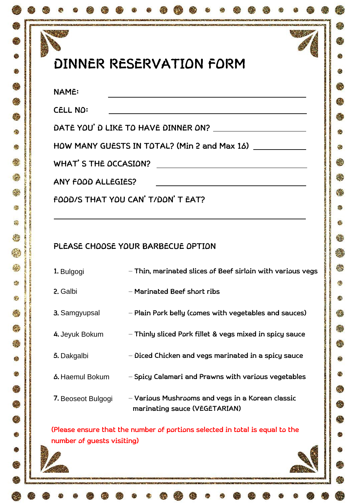| DINNER RESERVATION FORM |  |
|-------------------------|--|
|                         |  |

 $\sim 3$ 

Ġ.

۵

83

e.

爨

穆

僫

**CONVERTING CONTINUES IN A REPORT OF A STATE OF A STATE** 

Ø

 $\bullet$ 

零

麝

 $\epsilon$ 

檫

**SKI** 

機

鋆

念

編

÷

粉

繑

S.

终

Ġ

金

霙

线

Q

Ø

e

 $\mathbb{R}^2$ 

**CELL NO:** 

**DATE YOU'D LIKE TO HAVE DINNER ON?** 

**HOW MANY GUESTS IN TOTAL? (Min 2 and Max 16)**

**WHAT'S THE OCCASION?** 

**ANY FOOD ALLEGIES?** 

**FOOD/S THAT YOU CAN'T/DON'T EAT?** 

## **PLEASE CHOOSE YOUR BARBECUE OPTION**

| 1. Bulgogi                 | - Thin, marinated slices of Beef sirloin with various vegs                        |  |
|----------------------------|-----------------------------------------------------------------------------------|--|
| 2. Galbi                   | – Marinated Beef short ribs                                                       |  |
| 3. Samgyupsal              | - Plain Pork belly (comes with vegetables and sauces)                             |  |
| 4. Jeyuk Bokum             | - Thinly sliced Pork fillet & vegs mixed in spicy sauce                           |  |
| 5. Dakgalbi                | - Diced Chicken and vegs marinated in a spicy sauce                               |  |
| <b>6.</b> Haemul Bokum     | - Spicy Calamari and Prawns with various vegetables                               |  |
| 7. Beoseot Bulgogi         | - Various Mushrooms and vegs in a Korean classic<br>marinating sauce (VEGETARIAN) |  |
| number of guests visiting) | (Please ensure that the number of portions selected in total is equal to the      |  |